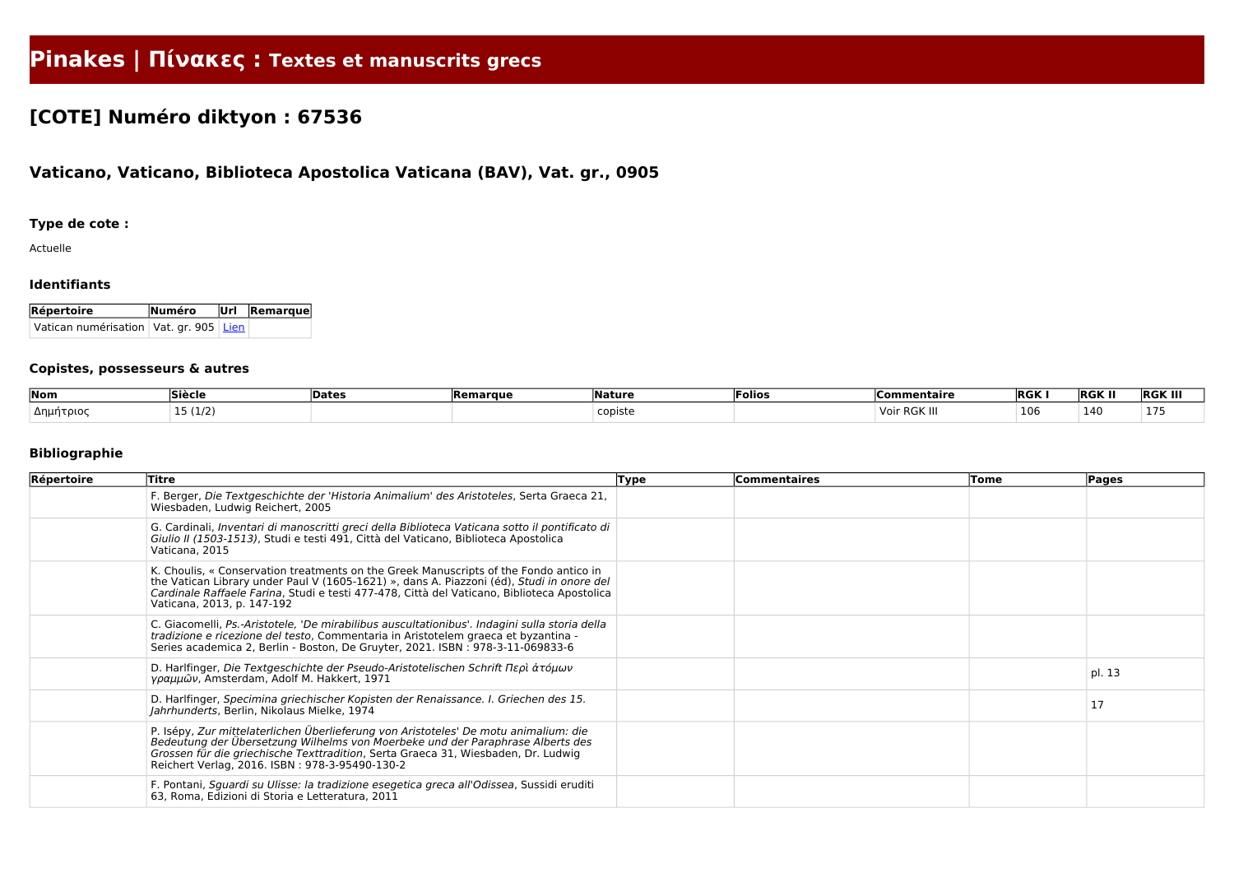# **Pinakes | Πίνακες : Textes et manuscrits grecs**

## **[COTE] Numéro diktyon : 67536**

### **Vaticano, Vaticano, Biblioteca Apostolica Vaticana (BAV), Vat. gr., 0905**

#### **Type de cote :**

Actuelle

#### **Identifiants**

| Répertoire                                 | Numéro Url Remarque |  |  |  |  |
|--------------------------------------------|---------------------|--|--|--|--|
| Vatican numérisation   Vat. gr. 905   Lien |                     |  |  |  |  |

#### **Copistes, possesseurs & autres**

| Nom       | <b>Siècle</b> | Date | <b>Remarque</b> | Naturo  | 'Folio⊾ | $\sim$ mentair $\epsilon$<br>∟omn | <b>RGK</b> | <b>RGK II</b> | <b>RGK III</b> |
|-----------|---------------|------|-----------------|---------|---------|-----------------------------------|------------|---------------|----------------|
| Δημήτριος | (1/2)         |      |                 | ≘opiste |         | RGK II<br>$\overline{16}$<br>v u  | 106        | <b>14'</b>    |                |

#### **Bibliographie**

| Répertoire | <b>Titre</b>                                                                                                                                                                                                                                                                                                    | <b>Type</b> | <b>Commentaires</b> | Tome | Pages  |
|------------|-----------------------------------------------------------------------------------------------------------------------------------------------------------------------------------------------------------------------------------------------------------------------------------------------------------------|-------------|---------------------|------|--------|
|            | F. Berger, Die Textgeschichte der 'Historia Animalium' des Aristoteles, Serta Graeca 21,<br>Wiesbaden, Ludwig Reichert, 2005                                                                                                                                                                                    |             |                     |      |        |
|            | G. Cardinali, Inventari di manoscritti greci della Biblioteca Vaticana sotto il pontificato di<br>Giulio II (1503-1513), Studi e testi 491, Città del Vaticano, Biblioteca Apostolica<br>Vaticana, 2015                                                                                                         |             |                     |      |        |
|            | K. Choulis, « Conservation treatments on the Greek Manuscripts of the Fondo antico in<br>the Vatican Library under Paul V (1605-1621) », dans A. Piazzoni (éd), Studi in onore del<br>Cardinale Raffaele Farina, Studi e testi 477-478, Città del Vaticano, Biblioteca Apostolica<br>Vaticana, 2013, p. 147-192 |             |                     |      |        |
|            | C. Giacomelli, Ps.-Aristotele, 'De mirabilibus auscultationibus'. Indagini sulla storia della<br>tradizione e ricezione del testo, Commentaria in Aristotelem graeca et byzantina -<br>Series academica 2, Berlin - Boston, De Gruyter, 2021. ISBN: 978-3-11-069833-6                                           |             |                     |      |        |
|            | D. Harlfinger, Die Textgeschichte der Pseudo-Aristotelischen Schrift Περὶ ἀτόμων<br>γραμμῶν, Amsterdam, Adolf M. Hakkert, 1971                                                                                                                                                                                  |             |                     |      | pl. 13 |
|            | D. Harlfinger, Specimina griechischer Kopisten der Renaissance. I. Griechen des 15.<br>Jahrhunderts, Berlin, Nikolaus Mielke, 1974                                                                                                                                                                              |             |                     |      | 17     |
|            | P. Isépy, Zur mittelaterlichen Überlieferung von Aristoteles' De motu animalium: die<br>Bedeutung der Übersetzung Wilhelms von Moerbeke und der Paraphrase Alberts des<br>Grossen für die griechische Texttradition, Serta Graeca 31, Wiesbaden, Dr. Ludwig<br>Reichert Verlag, 2016. ISBN: 978-3-95490-130-2   |             |                     |      |        |
|            | F. Pontani, Sguardi su Ulisse: la tradizione esegetica greca all'Odissea, Sussidi eruditi<br>63, Roma, Edizioni di Storia e Letteratura, 2011                                                                                                                                                                   |             |                     |      |        |